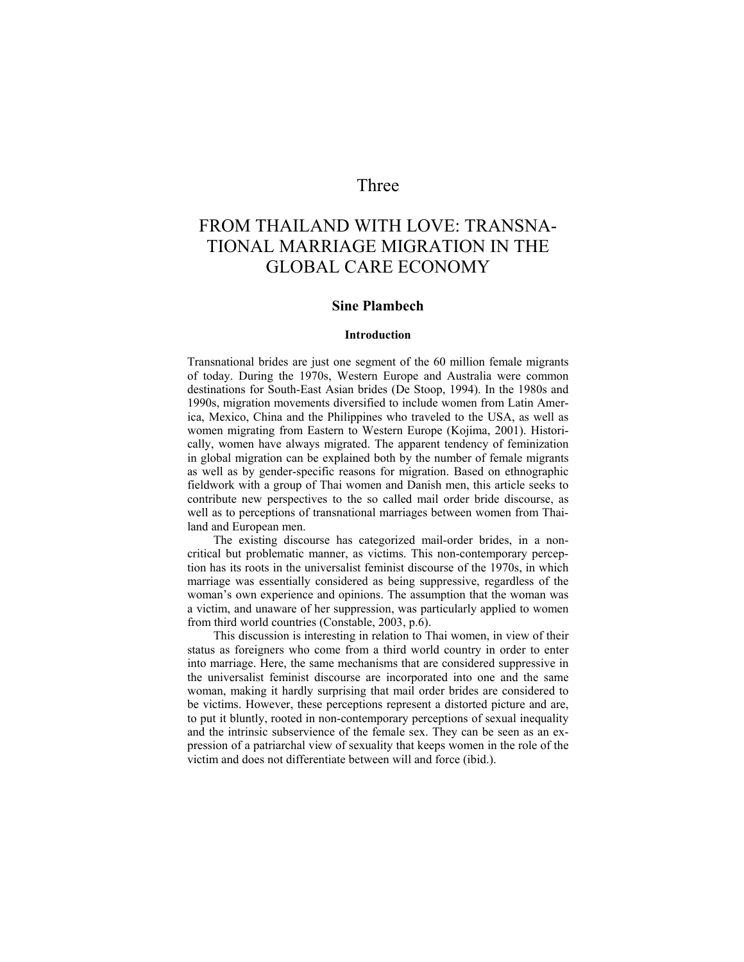# Three

# FROM THAILAND WITH LOVE: TRANSNA-TIONAL MARRIAGE MIGRATION IN THE GLOBAL CARE ECONOMY

## **Sine Plambech**

## **Introduction**

Transnational brides are just one segment of the 60 million female migrants of today. During the 1970s, Western Europe and Australia were common destinations for South-East Asian brides (De Stoop, 1994). In the 1980s and 1990s, migration movements diversified to include women from Latin America, Mexico, China and the Philippines who traveled to the USA, as well as women migrating from Eastern to Western Europe (Kojima, 2001). Historically, women have always migrated. The apparent tendency of feminization in global migration can be explained both by the number of female migrants as well as by gender-specific reasons for migration. Based on ethnographic fieldwork with a group of Thai women and Danish men, this article seeks to contribute new perspectives to the so called mail order bride discourse, as well as to perceptions of transnational marriages between women from Thailand and European men.

The existing discourse has categorized mail-order brides, in a noncritical but problematic manner, as victims. This non-contemporary perception has its roots in the universalist feminist discourse of the 1970s, in which marriage was essentially considered as being suppressive, regardless of the woman's own experience and opinions. The assumption that the woman was a victim, and unaware of her suppression, was particularly applied to women from third world countries (Constable, 2003, p.6).

This discussion is interesting in relation to Thai women, in view of their status as foreigners who come from a third world country in order to enter into marriage. Here, the same mechanisms that are considered suppressive in the universalist feminist discourse are incorporated into one and the same woman, making it hardly surprising that mail order brides are considered to be victims. However, these perceptions represent a distorted picture and are, to put it bluntly, rooted in non-contemporary perceptions of sexual inequality and the intrinsic subservience of the female sex. They can be seen as an expression of a patriarchal view of sexuality that keeps women in the role of the victim and does not differentiate between will and force (ibid.).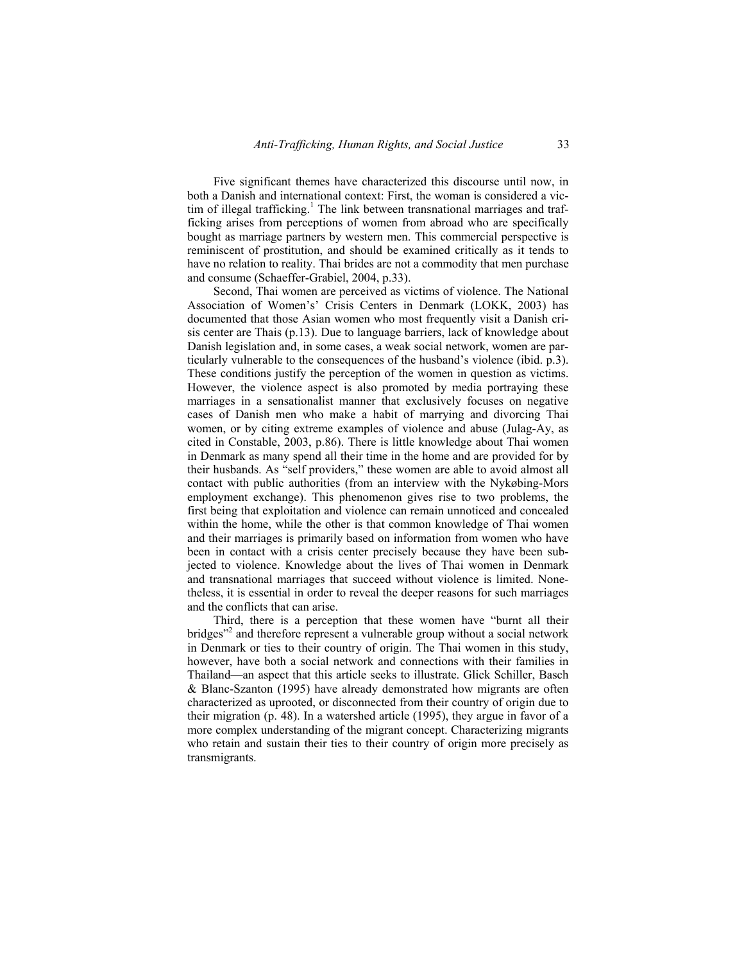Five significant themes have characterized this discourse until now, in both a Danish and international context: First, the woman is considered a victim of illegal trafficking.<sup>1</sup> The link between transnational marriages and trafficking arises from perceptions of women from abroad who are specifically bought as marriage partners by western men. This commercial perspective is reminiscent of prostitution, and should be examined critically as it tends to have no relation to reality. Thai brides are not a commodity that men purchase and consume (Schaeffer-Grabiel, 2004, p.33).

Second, Thai women are perceived as victims of violence. The National Association of Women's' Crisis Centers in Denmark (LOKK, 2003) has documented that those Asian women who most frequently visit a Danish crisis center are Thais (p.13). Due to language barriers, lack of knowledge about Danish legislation and, in some cases, a weak social network, women are particularly vulnerable to the consequences of the husband's violence (ibid. p.3). These conditions justify the perception of the women in question as victims. However, the violence aspect is also promoted by media portraying these marriages in a sensationalist manner that exclusively focuses on negative cases of Danish men who make a habit of marrying and divorcing Thai women, or by citing extreme examples of violence and abuse (Julag-Ay, as cited in Constable, 2003, p.86). There is little knowledge about Thai women in Denmark as many spend all their time in the home and are provided for by their husbands. As "self providers," these women are able to avoid almost all contact with public authorities (from an interview with the Nykøbing-Mors employment exchange). This phenomenon gives rise to two problems, the first being that exploitation and violence can remain unnoticed and concealed within the home, while the other is that common knowledge of Thai women and their marriages is primarily based on information from women who have been in contact with a crisis center precisely because they have been subjected to violence. Knowledge about the lives of Thai women in Denmark and transnational marriages that succeed without violence is limited. Nonetheless, it is essential in order to reveal the deeper reasons for such marriages and the conflicts that can arise.

Third, there is a perception that these women have "burnt all their bridges"<sup>2</sup> and therefore represent a vulnerable group without a social network in Denmark or ties to their country of origin. The Thai women in this study, however, have both a social network and connections with their families in Thailand—an aspect that this article seeks to illustrate. Glick Schiller, Basch & Blanc-Szanton (1995) have already demonstrated how migrants are often characterized as uprooted, or disconnected from their country of origin due to their migration (p. 48). In a watershed article (1995), they argue in favor of a more complex understanding of the migrant concept. Characterizing migrants who retain and sustain their ties to their country of origin more precisely as transmigrants.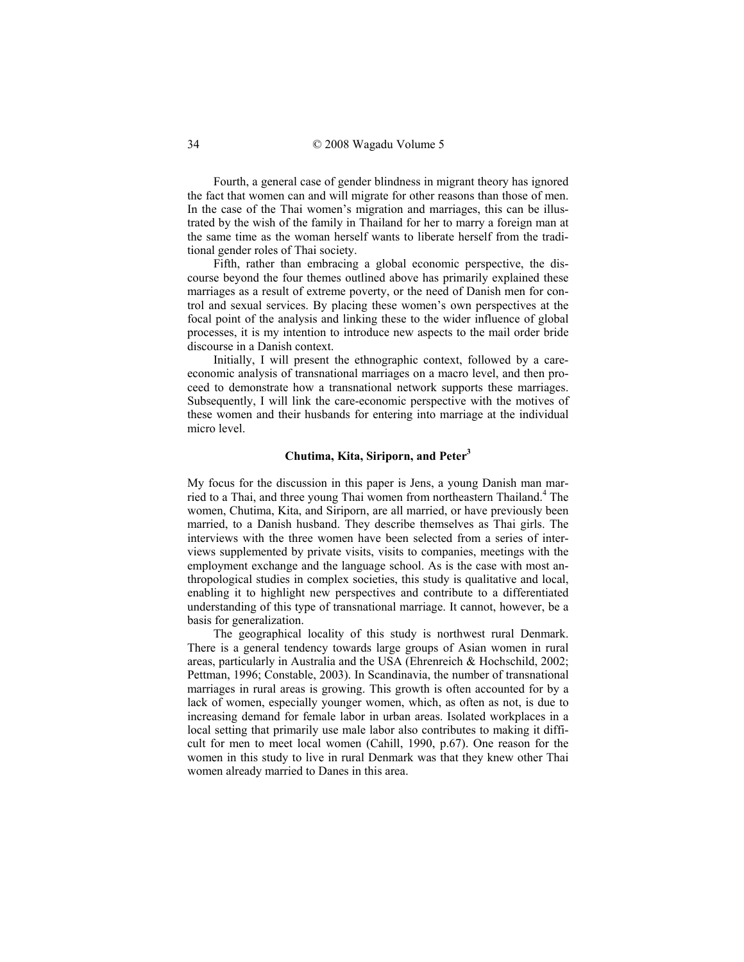Fourth, a general case of gender blindness in migrant theory has ignored the fact that women can and will migrate for other reasons than those of men. In the case of the Thai women's migration and marriages, this can be illustrated by the wish of the family in Thailand for her to marry a foreign man at the same time as the woman herself wants to liberate herself from the traditional gender roles of Thai society.

Fifth, rather than embracing a global economic perspective, the discourse beyond the four themes outlined above has primarily explained these marriages as a result of extreme poverty, or the need of Danish men for control and sexual services. By placing these women's own perspectives at the focal point of the analysis and linking these to the wider influence of global processes, it is my intention to introduce new aspects to the mail order bride discourse in a Danish context.

Initially, I will present the ethnographic context, followed by a careeconomic analysis of transnational marriages on a macro level, and then proceed to demonstrate how a transnational network supports these marriages. Subsequently, I will link the care-economic perspective with the motives of these women and their husbands for entering into marriage at the individual micro level.

#### **Chutima, Kita, Siriporn, and Peter3**

My focus for the discussion in this paper is Jens, a young Danish man married to a Thai, and three young Thai women from northeastern Thailand.<sup>4</sup> The women, Chutima, Kita, and Siriporn, are all married, or have previously been married, to a Danish husband. They describe themselves as Thai girls. The interviews with the three women have been selected from a series of interviews supplemented by private visits, visits to companies, meetings with the employment exchange and the language school. As is the case with most anthropological studies in complex societies, this study is qualitative and local, enabling it to highlight new perspectives and contribute to a differentiated understanding of this type of transnational marriage. It cannot, however, be a basis for generalization.

The geographical locality of this study is northwest rural Denmark. There is a general tendency towards large groups of Asian women in rural areas, particularly in Australia and the USA (Ehrenreich & Hochschild, 2002; Pettman, 1996; Constable, 2003). In Scandinavia, the number of transnational marriages in rural areas is growing. This growth is often accounted for by a lack of women, especially younger women, which, as often as not, is due to increasing demand for female labor in urban areas. Isolated workplaces in a local setting that primarily use male labor also contributes to making it difficult for men to meet local women (Cahill, 1990, p.67). One reason for the women in this study to live in rural Denmark was that they knew other Thai women already married to Danes in this area.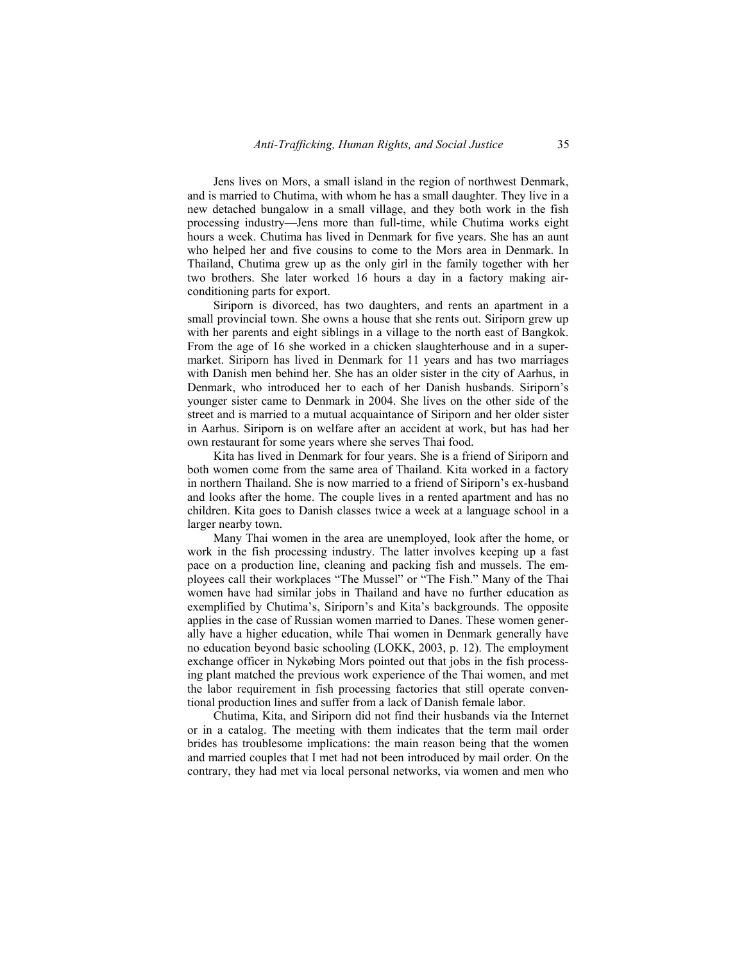Jens lives on Mors, a small island in the region of northwest Denmark, and is married to Chutima, with whom he has a small daughter. They live in a new detached bungalow in a small village, and they both work in the fish processing industry—Jens more than full-time, while Chutima works eight hours a week. Chutima has lived in Denmark for five years. She has an aunt who helped her and five cousins to come to the Mors area in Denmark. In Thailand, Chutima grew up as the only girl in the family together with her two brothers. She later worked 16 hours a day in a factory making airconditioning parts for export.

Siriporn is divorced, has two daughters, and rents an apartment in a small provincial town. She owns a house that she rents out. Siriporn grew up with her parents and eight siblings in a village to the north east of Bangkok. From the age of 16 she worked in a chicken slaughterhouse and in a supermarket. Siriporn has lived in Denmark for 11 years and has two marriages with Danish men behind her. She has an older sister in the city of Aarhus, in Denmark, who introduced her to each of her Danish husbands. Siriporn's younger sister came to Denmark in 2004. She lives on the other side of the street and is married to a mutual acquaintance of Siriporn and her older sister in Aarhus. Siriporn is on welfare after an accident at work, but has had her own restaurant for some years where she serves Thai food.

Kita has lived in Denmark for four years. She is a friend of Siriporn and both women come from the same area of Thailand. Kita worked in a factory in northern Thailand. She is now married to a friend of Siriporn's ex-husband and looks after the home. The couple lives in a rented apartment and has no children. Kita goes to Danish classes twice a week at a language school in a larger nearby town.

Many Thai women in the area are unemployed, look after the home, or work in the fish processing industry. The latter involves keeping up a fast pace on a production line, cleaning and packing fish and mussels. The employees call their workplaces "The Mussel" or "The Fish." Many of the Thai women have had similar jobs in Thailand and have no further education as exemplified by Chutima's, Siriporn's and Kita's backgrounds. The opposite applies in the case of Russian women married to Danes. These women generally have a higher education, while Thai women in Denmark generally have no education beyond basic schooling (LOKK, 2003, p. 12). The employment exchange officer in Nykøbing Mors pointed out that jobs in the fish processing plant matched the previous work experience of the Thai women, and met the labor requirement in fish processing factories that still operate conventional production lines and suffer from a lack of Danish female labor.

Chutima, Kita, and Siriporn did not find their husbands via the Internet or in a catalog. The meeting with them indicates that the term mail order brides has troublesome implications: the main reason being that the women and married couples that I met had not been introduced by mail order. On the contrary, they had met via local personal networks, via women and men who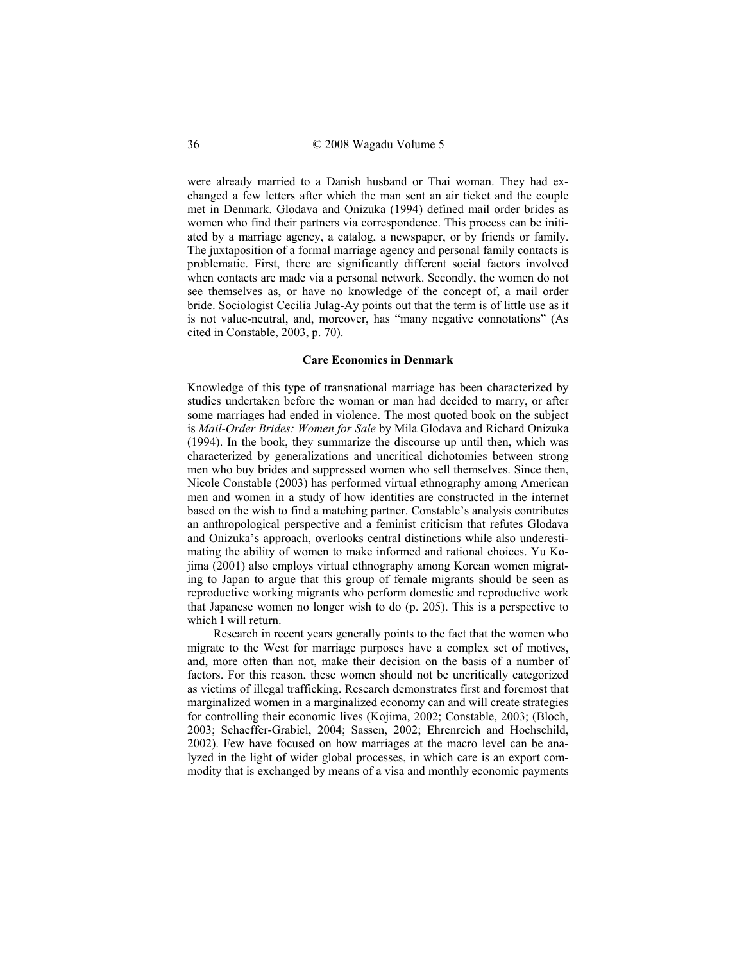were already married to a Danish husband or Thai woman. They had exchanged a few letters after which the man sent an air ticket and the couple met in Denmark. Glodava and Onizuka (1994) defined mail order brides as women who find their partners via correspondence. This process can be initiated by a marriage agency, a catalog, a newspaper, or by friends or family. The juxtaposition of a formal marriage agency and personal family contacts is problematic. First, there are significantly different social factors involved when contacts are made via a personal network. Secondly, the women do not see themselves as, or have no knowledge of the concept of, a mail order bride. Sociologist Cecilia Julag-Ay points out that the term is of little use as it is not value-neutral, and, moreover, has "many negative connotations" (As cited in Constable, 2003, p. 70).

### **Care Economics in Denmark**

Knowledge of this type of transnational marriage has been characterized by studies undertaken before the woman or man had decided to marry, or after some marriages had ended in violence. The most quoted book on the subject is *Mail-Order Brides: Women for Sale* by Mila Glodava and Richard Onizuka (1994). In the book, they summarize the discourse up until then, which was characterized by generalizations and uncritical dichotomies between strong men who buy brides and suppressed women who sell themselves. Since then, Nicole Constable (2003) has performed virtual ethnography among American men and women in a study of how identities are constructed in the internet based on the wish to find a matching partner. Constable's analysis contributes an anthropological perspective and a feminist criticism that refutes Glodava and Onizuka's approach, overlooks central distinctions while also underestimating the ability of women to make informed and rational choices. Yu Kojima (2001) also employs virtual ethnography among Korean women migrating to Japan to argue that this group of female migrants should be seen as reproductive working migrants who perform domestic and reproductive work that Japanese women no longer wish to do (p. 205). This is a perspective to which I will return.

Research in recent years generally points to the fact that the women who migrate to the West for marriage purposes have a complex set of motives, and, more often than not, make their decision on the basis of a number of factors. For this reason, these women should not be uncritically categorized as victims of illegal trafficking. Research demonstrates first and foremost that marginalized women in a marginalized economy can and will create strategies for controlling their economic lives (Kojima, 2002; Constable, 2003; (Bloch, 2003; Schaeffer-Grabiel, 2004; Sassen, 2002; Ehrenreich and Hochschild, 2002). Few have focused on how marriages at the macro level can be analyzed in the light of wider global processes, in which care is an export commodity that is exchanged by means of a visa and monthly economic payments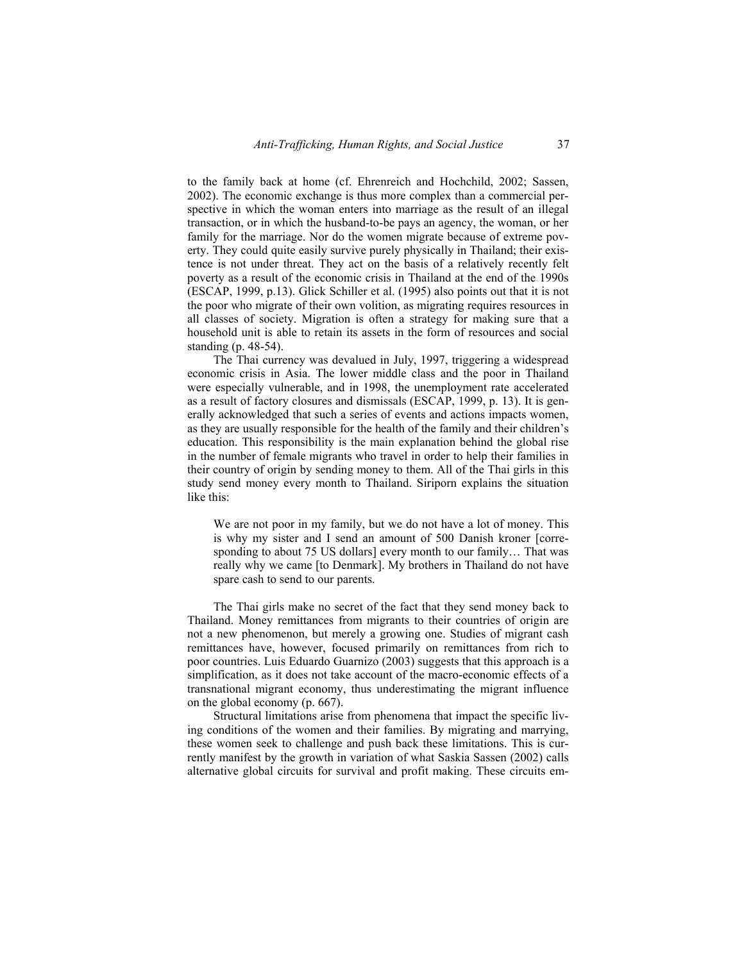to the family back at home (cf. Ehrenreich and Hochchild, 2002; Sassen, 2002). The economic exchange is thus more complex than a commercial perspective in which the woman enters into marriage as the result of an illegal transaction, or in which the husband-to-be pays an agency, the woman, or her family for the marriage. Nor do the women migrate because of extreme poverty. They could quite easily survive purely physically in Thailand; their existence is not under threat. They act on the basis of a relatively recently felt poverty as a result of the economic crisis in Thailand at the end of the 1990s (ESCAP, 1999, p.13). Glick Schiller et al. (1995) also points out that it is not the poor who migrate of their own volition, as migrating requires resources in all classes of society. Migration is often a strategy for making sure that a household unit is able to retain its assets in the form of resources and social standing (p. 48-54).

The Thai currency was devalued in July, 1997, triggering a widespread economic crisis in Asia. The lower middle class and the poor in Thailand were especially vulnerable, and in 1998, the unemployment rate accelerated as a result of factory closures and dismissals (ESCAP, 1999, p. 13). It is generally acknowledged that such a series of events and actions impacts women, as they are usually responsible for the health of the family and their children's education. This responsibility is the main explanation behind the global rise in the number of female migrants who travel in order to help their families in their country of origin by sending money to them. All of the Thai girls in this study send money every month to Thailand. Siriporn explains the situation like this:

We are not poor in my family, but we do not have a lot of money. This is why my sister and I send an amount of 500 Danish kroner [corresponding to about 75 US dollars] every month to our family… That was really why we came [to Denmark]. My brothers in Thailand do not have spare cash to send to our parents.

The Thai girls make no secret of the fact that they send money back to Thailand. Money remittances from migrants to their countries of origin are not a new phenomenon, but merely a growing one. Studies of migrant cash remittances have, however, focused primarily on remittances from rich to poor countries. Luis Eduardo Guarnizo (2003) suggests that this approach is a simplification, as it does not take account of the macro-economic effects of a transnational migrant economy, thus underestimating the migrant influence on the global economy (p. 667).

Structural limitations arise from phenomena that impact the specific living conditions of the women and their families. By migrating and marrying, these women seek to challenge and push back these limitations. This is currently manifest by the growth in variation of what Saskia Sassen (2002) calls alternative global circuits for survival and profit making. These circuits em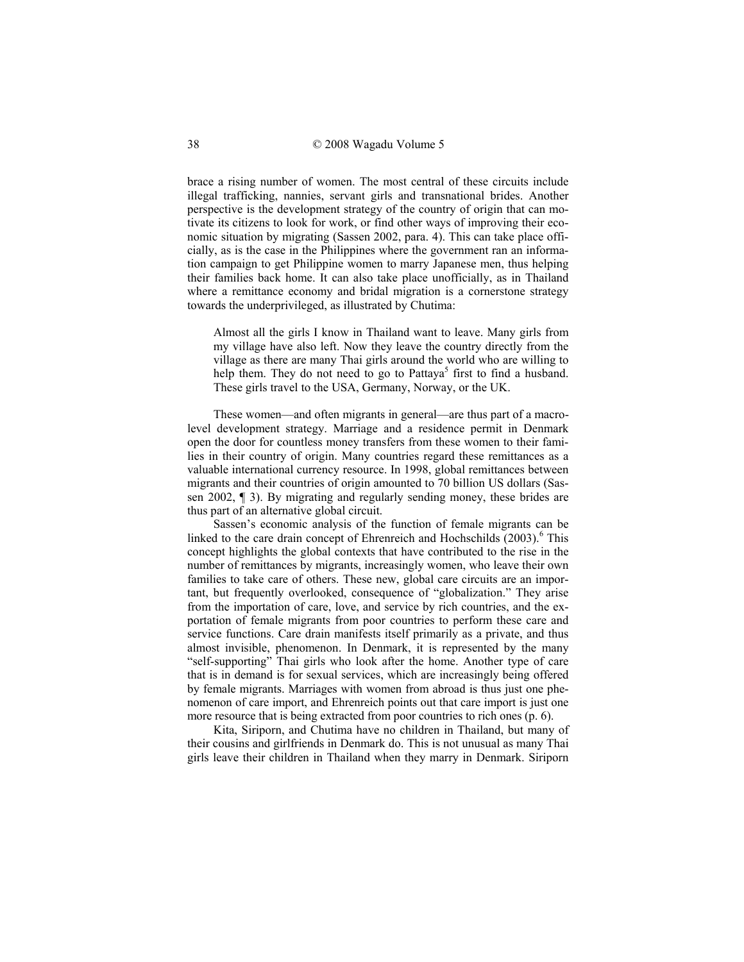brace a rising number of women. The most central of these circuits include illegal trafficking, nannies, servant girls and transnational brides. Another perspective is the development strategy of the country of origin that can motivate its citizens to look for work, or find other ways of improving their economic situation by migrating (Sassen 2002, para. 4). This can take place officially, as is the case in the Philippines where the government ran an information campaign to get Philippine women to marry Japanese men, thus helping their families back home. It can also take place unofficially, as in Thailand where a remittance economy and bridal migration is a cornerstone strategy towards the underprivileged, as illustrated by Chutima:

Almost all the girls I know in Thailand want to leave. Many girls from my village have also left. Now they leave the country directly from the village as there are many Thai girls around the world who are willing to help them. They do not need to go to Pattaya<sup>5</sup> first to find a husband. These girls travel to the USA, Germany, Norway, or the UK.

These women—and often migrants in general—are thus part of a macrolevel development strategy. Marriage and a residence permit in Denmark open the door for countless money transfers from these women to their families in their country of origin. Many countries regard these remittances as a valuable international currency resource. In 1998, global remittances between migrants and their countries of origin amounted to 70 billion US dollars (Sassen 2002, ¶ 3). By migrating and regularly sending money, these brides are thus part of an alternative global circuit.

Sassen's economic analysis of the function of female migrants can be linked to the care drain concept of Ehrenreich and Hochschilds  $(2003)$ .<sup>6</sup> This concept highlights the global contexts that have contributed to the rise in the number of remittances by migrants, increasingly women, who leave their own families to take care of others. These new, global care circuits are an important, but frequently overlooked, consequence of "globalization." They arise from the importation of care, love, and service by rich countries, and the exportation of female migrants from poor countries to perform these care and service functions. Care drain manifests itself primarily as a private, and thus almost invisible, phenomenon. In Denmark, it is represented by the many "self-supporting" Thai girls who look after the home. Another type of care that is in demand is for sexual services, which are increasingly being offered by female migrants. Marriages with women from abroad is thus just one phenomenon of care import, and Ehrenreich points out that care import is just one more resource that is being extracted from poor countries to rich ones (p. 6).

Kita, Siriporn, and Chutima have no children in Thailand, but many of their cousins and girlfriends in Denmark do. This is not unusual as many Thai girls leave their children in Thailand when they marry in Denmark. Siriporn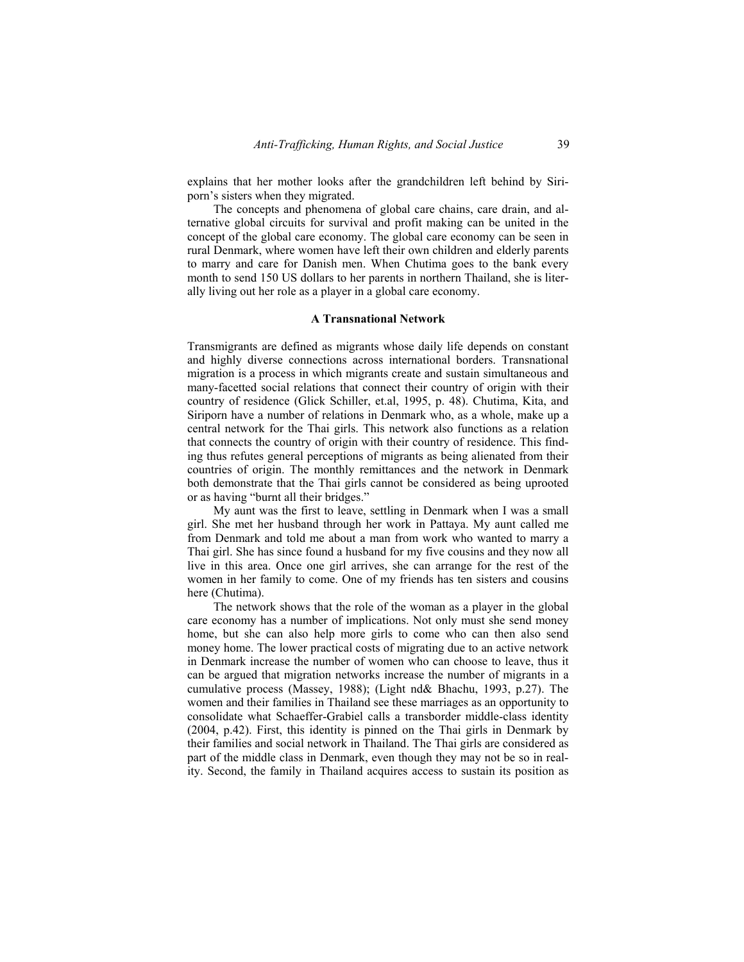explains that her mother looks after the grandchildren left behind by Siriporn's sisters when they migrated.

The concepts and phenomena of global care chains, care drain, and alternative global circuits for survival and profit making can be united in the concept of the global care economy. The global care economy can be seen in rural Denmark, where women have left their own children and elderly parents to marry and care for Danish men. When Chutima goes to the bank every month to send 150 US dollars to her parents in northern Thailand, she is literally living out her role as a player in a global care economy.

#### **A Transnational Network**

Transmigrants are defined as migrants whose daily life depends on constant and highly diverse connections across international borders. Transnational migration is a process in which migrants create and sustain simultaneous and many-facetted social relations that connect their country of origin with their country of residence (Glick Schiller, et.al, 1995, p. 48). Chutima, Kita, and Siriporn have a number of relations in Denmark who, as a whole, make up a central network for the Thai girls. This network also functions as a relation that connects the country of origin with their country of residence. This finding thus refutes general perceptions of migrants as being alienated from their countries of origin. The monthly remittances and the network in Denmark both demonstrate that the Thai girls cannot be considered as being uprooted or as having "burnt all their bridges."

My aunt was the first to leave, settling in Denmark when I was a small girl. She met her husband through her work in Pattaya. My aunt called me from Denmark and told me about a man from work who wanted to marry a Thai girl. She has since found a husband for my five cousins and they now all live in this area. Once one girl arrives, she can arrange for the rest of the women in her family to come. One of my friends has ten sisters and cousins here (Chutima).

The network shows that the role of the woman as a player in the global care economy has a number of implications. Not only must she send money home, but she can also help more girls to come who can then also send money home. The lower practical costs of migrating due to an active network in Denmark increase the number of women who can choose to leave, thus it can be argued that migration networks increase the number of migrants in a cumulative process (Massey, 1988); (Light nd& Bhachu, 1993, p.27). The women and their families in Thailand see these marriages as an opportunity to consolidate what Schaeffer-Grabiel calls a transborder middle-class identity (2004, p.42). First, this identity is pinned on the Thai girls in Denmark by their families and social network in Thailand. The Thai girls are considered as part of the middle class in Denmark, even though they may not be so in reality. Second, the family in Thailand acquires access to sustain its position as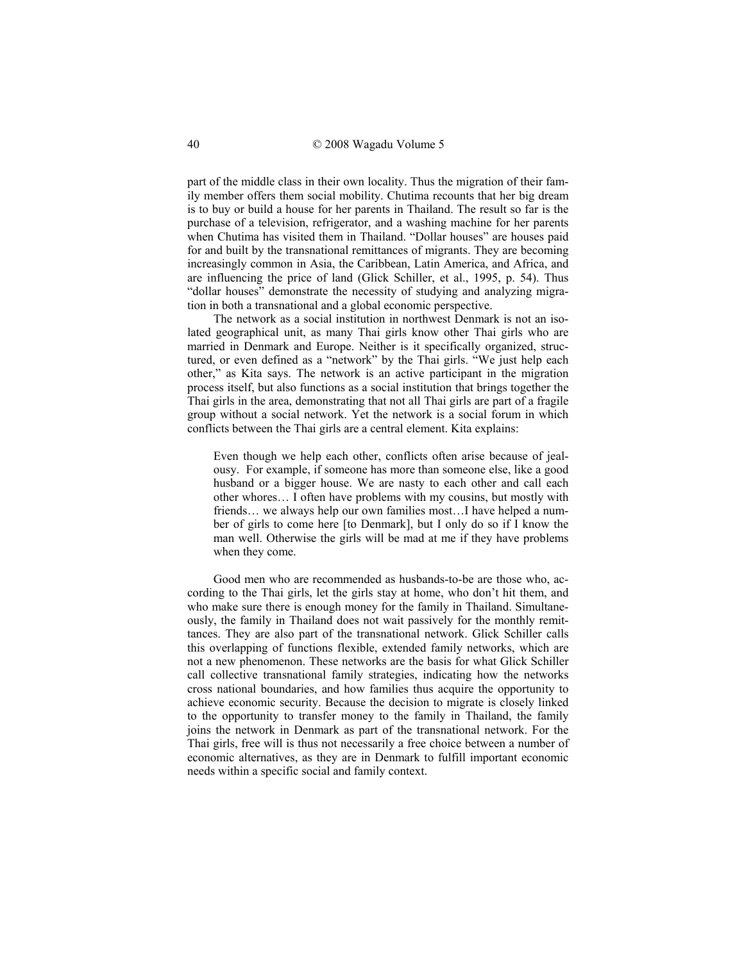part of the middle class in their own locality. Thus the migration of their family member offers them social mobility. Chutima recounts that her big dream is to buy or build a house for her parents in Thailand. The result so far is the purchase of a television, refrigerator, and a washing machine for her parents when Chutima has visited them in Thailand. "Dollar houses" are houses paid for and built by the transnational remittances of migrants. They are becoming increasingly common in Asia, the Caribbean, Latin America, and Africa, and are influencing the price of land (Glick Schiller, et al., 1995, p. 54). Thus "dollar houses" demonstrate the necessity of studying and analyzing migration in both a transnational and a global economic perspective.

The network as a social institution in northwest Denmark is not an isolated geographical unit, as many Thai girls know other Thai girls who are married in Denmark and Europe. Neither is it specifically organized, structured, or even defined as a "network" by the Thai girls. "We just help each other," as Kita says. The network is an active participant in the migration process itself, but also functions as a social institution that brings together the Thai girls in the area, demonstrating that not all Thai girls are part of a fragile group without a social network. Yet the network is a social forum in which conflicts between the Thai girls are a central element. Kita explains:

Even though we help each other, conflicts often arise because of jealousy. For example, if someone has more than someone else, like a good husband or a bigger house. We are nasty to each other and call each other whores… I often have problems with my cousins, but mostly with friends… we always help our own families most…I have helped a number of girls to come here [to Denmark], but I only do so if I know the man well. Otherwise the girls will be mad at me if they have problems when they come.

Good men who are recommended as husbands-to-be are those who, according to the Thai girls, let the girls stay at home, who don't hit them, and who make sure there is enough money for the family in Thailand. Simultaneously, the family in Thailand does not wait passively for the monthly remittances. They are also part of the transnational network. Glick Schiller calls this overlapping of functions flexible, extended family networks, which are not a new phenomenon. These networks are the basis for what Glick Schiller call collective transnational family strategies, indicating how the networks cross national boundaries, and how families thus acquire the opportunity to achieve economic security. Because the decision to migrate is closely linked to the opportunity to transfer money to the family in Thailand, the family joins the network in Denmark as part of the transnational network. For the Thai girls, free will is thus not necessarily a free choice between a number of economic alternatives, as they are in Denmark to fulfill important economic needs within a specific social and family context.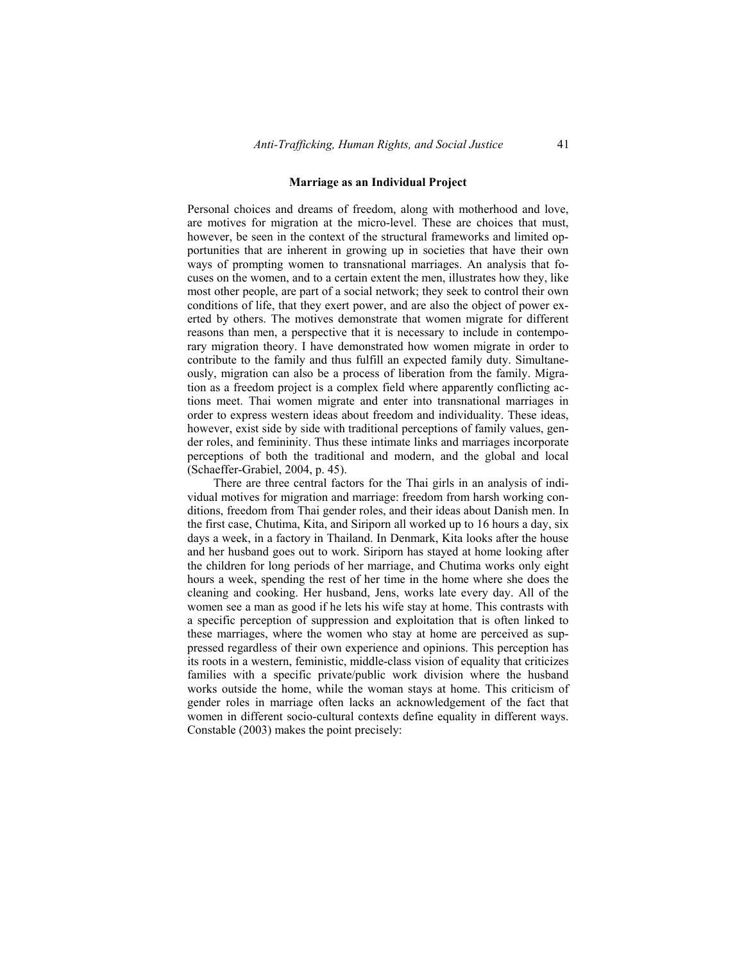#### **Marriage as an Individual Project**

Personal choices and dreams of freedom, along with motherhood and love, are motives for migration at the micro-level. These are choices that must, however, be seen in the context of the structural frameworks and limited opportunities that are inherent in growing up in societies that have their own ways of prompting women to transnational marriages. An analysis that focuses on the women, and to a certain extent the men, illustrates how they, like most other people, are part of a social network; they seek to control their own conditions of life, that they exert power, and are also the object of power exerted by others. The motives demonstrate that women migrate for different reasons than men, a perspective that it is necessary to include in contemporary migration theory. I have demonstrated how women migrate in order to contribute to the family and thus fulfill an expected family duty. Simultaneously, migration can also be a process of liberation from the family. Migration as a freedom project is a complex field where apparently conflicting actions meet. Thai women migrate and enter into transnational marriages in order to express western ideas about freedom and individuality. These ideas, however, exist side by side with traditional perceptions of family values, gender roles, and femininity. Thus these intimate links and marriages incorporate perceptions of both the traditional and modern, and the global and local (Schaeffer-Grabiel, 2004, p. 45).

There are three central factors for the Thai girls in an analysis of individual motives for migration and marriage: freedom from harsh working conditions, freedom from Thai gender roles, and their ideas about Danish men. In the first case, Chutima, Kita, and Siriporn all worked up to 16 hours a day, six days a week, in a factory in Thailand. In Denmark, Kita looks after the house and her husband goes out to work. Siriporn has stayed at home looking after the children for long periods of her marriage, and Chutima works only eight hours a week, spending the rest of her time in the home where she does the cleaning and cooking. Her husband, Jens, works late every day. All of the women see a man as good if he lets his wife stay at home. This contrasts with a specific perception of suppression and exploitation that is often linked to these marriages, where the women who stay at home are perceived as suppressed regardless of their own experience and opinions. This perception has its roots in a western, feministic, middle-class vision of equality that criticizes families with a specific private/public work division where the husband works outside the home, while the woman stays at home. This criticism of gender roles in marriage often lacks an acknowledgement of the fact that women in different socio-cultural contexts define equality in different ways. Constable (2003) makes the point precisely: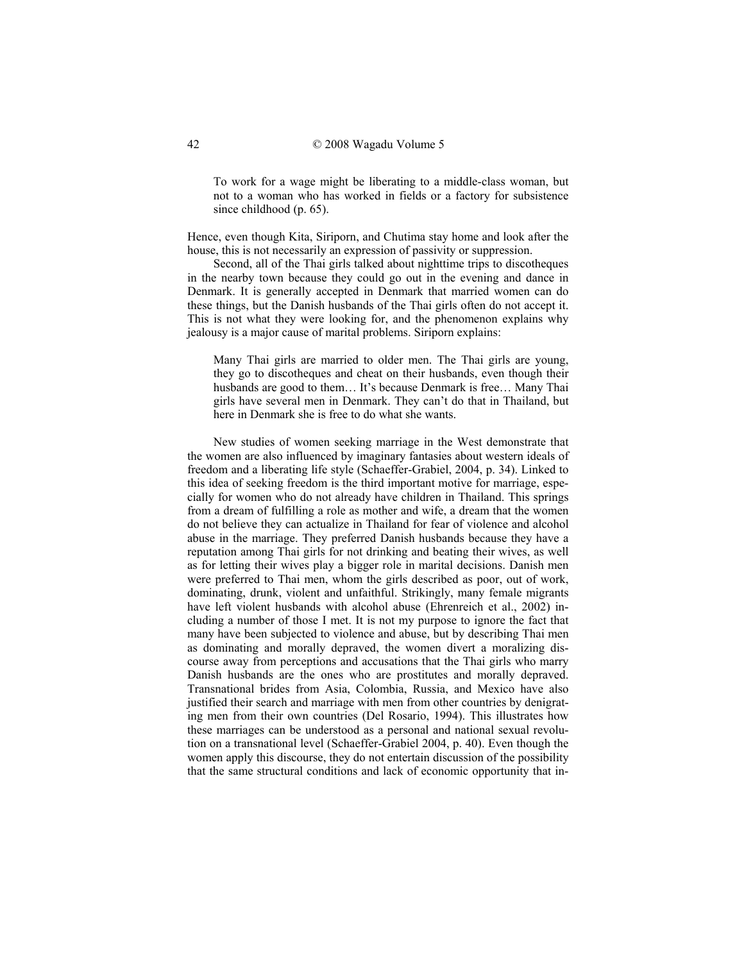To work for a wage might be liberating to a middle-class woman, but not to a woman who has worked in fields or a factory for subsistence since childhood (p. 65).

Hence, even though Kita, Siriporn, and Chutima stay home and look after the house, this is not necessarily an expression of passivity or suppression.

Second, all of the Thai girls talked about nighttime trips to discotheques in the nearby town because they could go out in the evening and dance in Denmark. It is generally accepted in Denmark that married women can do these things, but the Danish husbands of the Thai girls often do not accept it. This is not what they were looking for, and the phenomenon explains why jealousy is a major cause of marital problems. Siriporn explains:

Many Thai girls are married to older men. The Thai girls are young, they go to discotheques and cheat on their husbands, even though their husbands are good to them... It's because Denmark is free... Many Thai girls have several men in Denmark. They can't do that in Thailand, but here in Denmark she is free to do what she wants.

New studies of women seeking marriage in the West demonstrate that the women are also influenced by imaginary fantasies about western ideals of freedom and a liberating life style (Schaeffer-Grabiel, 2004, p. 34). Linked to this idea of seeking freedom is the third important motive for marriage, especially for women who do not already have children in Thailand. This springs from a dream of fulfilling a role as mother and wife, a dream that the women do not believe they can actualize in Thailand for fear of violence and alcohol abuse in the marriage. They preferred Danish husbands because they have a reputation among Thai girls for not drinking and beating their wives, as well as for letting their wives play a bigger role in marital decisions. Danish men were preferred to Thai men, whom the girls described as poor, out of work, dominating, drunk, violent and unfaithful. Strikingly, many female migrants have left violent husbands with alcohol abuse (Ehrenreich et al., 2002) including a number of those I met. It is not my purpose to ignore the fact that many have been subjected to violence and abuse, but by describing Thai men as dominating and morally depraved, the women divert a moralizing discourse away from perceptions and accusations that the Thai girls who marry Danish husbands are the ones who are prostitutes and morally depraved. Transnational brides from Asia, Colombia, Russia, and Mexico have also justified their search and marriage with men from other countries by denigrating men from their own countries (Del Rosario, 1994). This illustrates how these marriages can be understood as a personal and national sexual revolution on a transnational level (Schaeffer-Grabiel 2004, p. 40). Even though the women apply this discourse, they do not entertain discussion of the possibility that the same structural conditions and lack of economic opportunity that in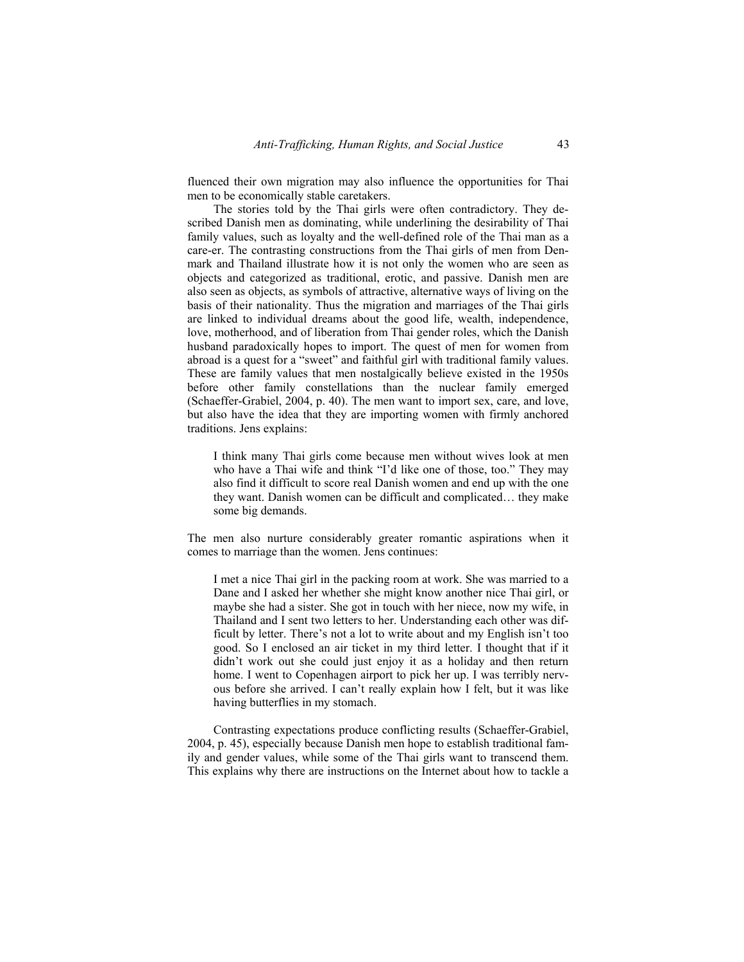fluenced their own migration may also influence the opportunities for Thai men to be economically stable caretakers.

The stories told by the Thai girls were often contradictory. They described Danish men as dominating, while underlining the desirability of Thai family values, such as loyalty and the well-defined role of the Thai man as a care-er. The contrasting constructions from the Thai girls of men from Denmark and Thailand illustrate how it is not only the women who are seen as objects and categorized as traditional, erotic, and passive. Danish men are also seen as objects, as symbols of attractive, alternative ways of living on the basis of their nationality. Thus the migration and marriages of the Thai girls are linked to individual dreams about the good life, wealth, independence, love, motherhood, and of liberation from Thai gender roles, which the Danish husband paradoxically hopes to import. The quest of men for women from abroad is a quest for a "sweet" and faithful girl with traditional family values. These are family values that men nostalgically believe existed in the 1950s before other family constellations than the nuclear family emerged (Schaeffer-Grabiel, 2004, p. 40). The men want to import sex, care, and love, but also have the idea that they are importing women with firmly anchored traditions. Jens explains:

I think many Thai girls come because men without wives look at men who have a Thai wife and think "I'd like one of those, too." They may also find it difficult to score real Danish women and end up with the one they want. Danish women can be difficult and complicated… they make some big demands.

The men also nurture considerably greater romantic aspirations when it comes to marriage than the women. Jens continues:

I met a nice Thai girl in the packing room at work. She was married to a Dane and I asked her whether she might know another nice Thai girl, or maybe she had a sister. She got in touch with her niece, now my wife, in Thailand and I sent two letters to her. Understanding each other was difficult by letter. There's not a lot to write about and my English isn't too good. So I enclosed an air ticket in my third letter. I thought that if it didn't work out she could just enjoy it as a holiday and then return home. I went to Copenhagen airport to pick her up. I was terribly nervous before she arrived. I can't really explain how I felt, but it was like having butterflies in my stomach.

Contrasting expectations produce conflicting results (Schaeffer-Grabiel, 2004, p. 45), especially because Danish men hope to establish traditional family and gender values, while some of the Thai girls want to transcend them. This explains why there are instructions on the Internet about how to tackle a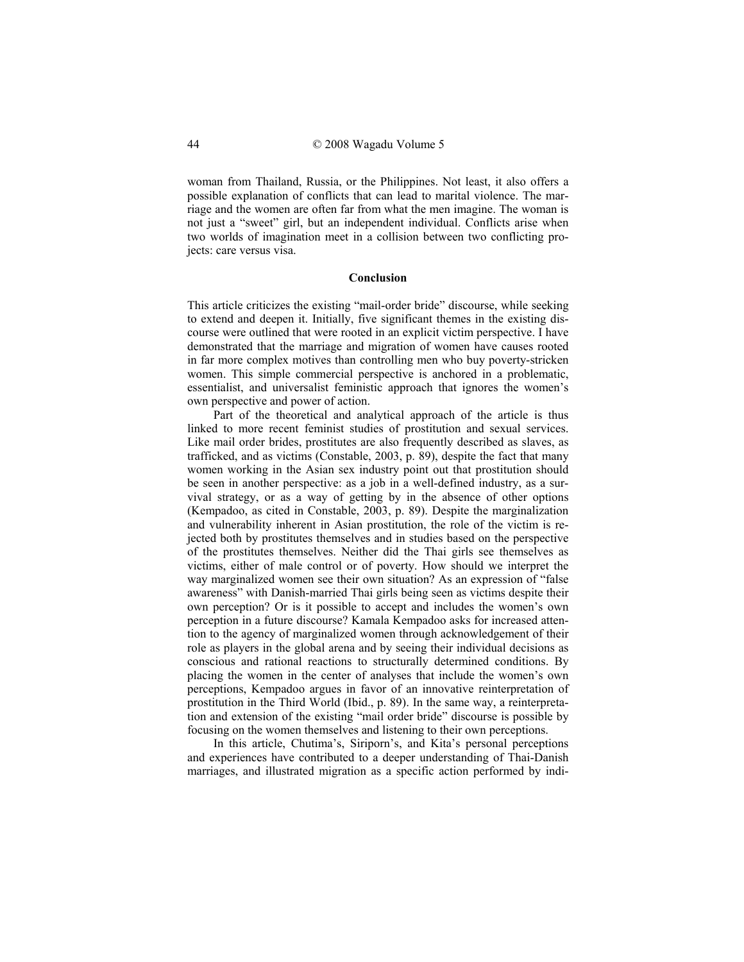woman from Thailand, Russia, or the Philippines. Not least, it also offers a possible explanation of conflicts that can lead to marital violence. The marriage and the women are often far from what the men imagine. The woman is not just a "sweet" girl, but an independent individual. Conflicts arise when two worlds of imagination meet in a collision between two conflicting projects: care versus visa.

#### **Conclusion**

This article criticizes the existing "mail-order bride" discourse, while seeking to extend and deepen it. Initially, five significant themes in the existing discourse were outlined that were rooted in an explicit victim perspective. I have demonstrated that the marriage and migration of women have causes rooted in far more complex motives than controlling men who buy poverty-stricken women. This simple commercial perspective is anchored in a problematic, essentialist, and universalist feministic approach that ignores the women's own perspective and power of action.

Part of the theoretical and analytical approach of the article is thus linked to more recent feminist studies of prostitution and sexual services. Like mail order brides, prostitutes are also frequently described as slaves, as trafficked, and as victims (Constable, 2003, p. 89), despite the fact that many women working in the Asian sex industry point out that prostitution should be seen in another perspective: as a job in a well-defined industry, as a survival strategy, or as a way of getting by in the absence of other options (Kempadoo, as cited in Constable, 2003, p. 89). Despite the marginalization and vulnerability inherent in Asian prostitution, the role of the victim is rejected both by prostitutes themselves and in studies based on the perspective of the prostitutes themselves. Neither did the Thai girls see themselves as victims, either of male control or of poverty. How should we interpret the way marginalized women see their own situation? As an expression of "false awareness" with Danish-married Thai girls being seen as victims despite their own perception? Or is it possible to accept and includes the women's own perception in a future discourse? Kamala Kempadoo asks for increased attention to the agency of marginalized women through acknowledgement of their role as players in the global arena and by seeing their individual decisions as conscious and rational reactions to structurally determined conditions. By placing the women in the center of analyses that include the women's own perceptions, Kempadoo argues in favor of an innovative reinterpretation of prostitution in the Third World (Ibid., p. 89). In the same way, a reinterpretation and extension of the existing "mail order bride" discourse is possible by focusing on the women themselves and listening to their own perceptions.

In this article, Chutima's, Siriporn's, and Kita's personal perceptions and experiences have contributed to a deeper understanding of Thai-Danish marriages, and illustrated migration as a specific action performed by indi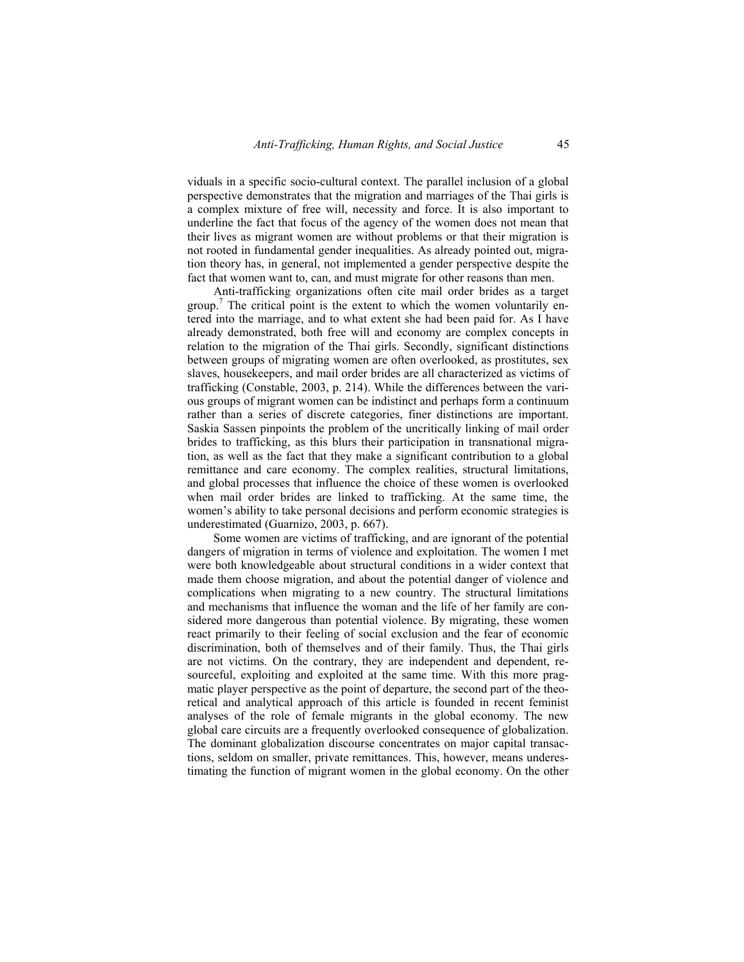viduals in a specific socio-cultural context. The parallel inclusion of a global perspective demonstrates that the migration and marriages of the Thai girls is a complex mixture of free will, necessity and force. It is also important to underline the fact that focus of the agency of the women does not mean that their lives as migrant women are without problems or that their migration is not rooted in fundamental gender inequalities. As already pointed out, migration theory has, in general, not implemented a gender perspective despite the fact that women want to, can, and must migrate for other reasons than men.

Anti-trafficking organizations often cite mail order brides as a target group.<sup>7</sup> The critical point is the extent to which the women voluntarily entered into the marriage, and to what extent she had been paid for. As I have already demonstrated, both free will and economy are complex concepts in relation to the migration of the Thai girls. Secondly, significant distinctions between groups of migrating women are often overlooked, as prostitutes, sex slaves, housekeepers, and mail order brides are all characterized as victims of trafficking (Constable, 2003, p. 214). While the differences between the various groups of migrant women can be indistinct and perhaps form a continuum rather than a series of discrete categories, finer distinctions are important. Saskia Sassen pinpoints the problem of the uncritically linking of mail order brides to trafficking, as this blurs their participation in transnational migration, as well as the fact that they make a significant contribution to a global remittance and care economy. The complex realities, structural limitations, and global processes that influence the choice of these women is overlooked when mail order brides are linked to trafficking. At the same time, the women's ability to take personal decisions and perform economic strategies is underestimated (Guarnizo, 2003, p. 667).

Some women are victims of trafficking, and are ignorant of the potential dangers of migration in terms of violence and exploitation. The women I met were both knowledgeable about structural conditions in a wider context that made them choose migration, and about the potential danger of violence and complications when migrating to a new country. The structural limitations and mechanisms that influence the woman and the life of her family are considered more dangerous than potential violence. By migrating, these women react primarily to their feeling of social exclusion and the fear of economic discrimination, both of themselves and of their family. Thus, the Thai girls are not victims. On the contrary, they are independent and dependent, resourceful, exploiting and exploited at the same time. With this more pragmatic player perspective as the point of departure, the second part of the theoretical and analytical approach of this article is founded in recent feminist analyses of the role of female migrants in the global economy. The new global care circuits are a frequently overlooked consequence of globalization. The dominant globalization discourse concentrates on major capital transactions, seldom on smaller, private remittances. This, however, means underestimating the function of migrant women in the global economy. On the other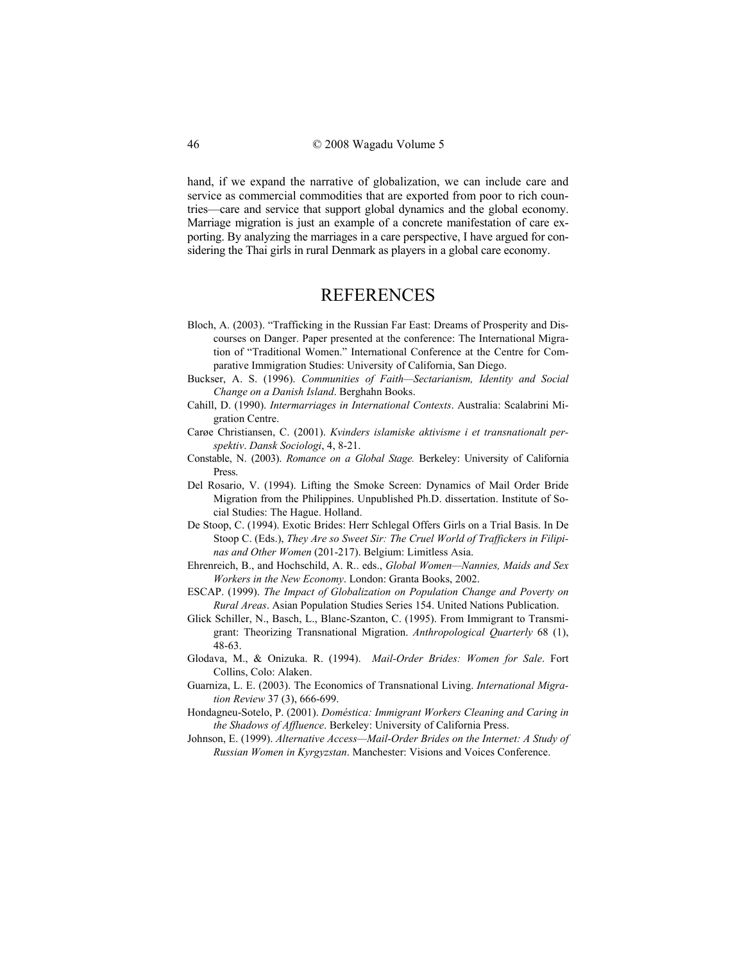hand, if we expand the narrative of globalization, we can include care and service as commercial commodities that are exported from poor to rich countries—care and service that support global dynamics and the global economy. Marriage migration is just an example of a concrete manifestation of care exporting. By analyzing the marriages in a care perspective, I have argued for considering the Thai girls in rural Denmark as players in a global care economy.

# REFERENCES

- Bloch, A. (2003). "Trafficking in the Russian Far East: Dreams of Prosperity and Discourses on Danger. Paper presented at the conference: The International Migration of "Traditional Women." International Conference at the Centre for Comparative Immigration Studies: University of California, San Diego.
- Buckser, A. S. (1996). *Communities of Faith—Sectarianism, Identity and Social Change on a Danish Island*. Berghahn Books.
- Cahill, D. (1990). *Intermarriages in International Contexts*. Australia: Scalabrini Migration Centre.
- Carøe Christiansen, C. (2001). *Kvinders islamiske aktivisme i et transnationalt perspektiv*. *Dansk Sociologi*, 4, 8-21.
- Constable, N. (2003). *Romance on a Global Stage.* Berkeley: University of California Press.
- Del Rosario, V. (1994). Lifting the Smoke Screen: Dynamics of Mail Order Bride Migration from the Philippines. Unpublished Ph.D. dissertation. Institute of Social Studies: The Hague. Holland.
- De Stoop, C. (1994). Exotic Brides: Herr Schlegal Offers Girls on a Trial Basis. In De Stoop C. (Eds.), *They Are so Sweet Sir: The Cruel World of Traffickers in Filipinas and Other Women* (201-217). Belgium: Limitless Asia.
- Ehrenreich, B., and Hochschild, A. R.. eds., *Global Women—Nannies, Maids and Sex Workers in the New Economy*. London: Granta Books, 2002.
- ESCAP. (1999). *The Impact of Globalization on Population Change and Poverty on Rural Areas*. Asian Population Studies Series 154. United Nations Publication.
- Glick Schiller, N., Basch, L., Blanc-Szanton, C. (1995). From Immigrant to Transmigrant: Theorizing Transnational Migration. *Anthropological Quarterly* 68 (1), 48-63.
- Glodava, M., & Onizuka. R. (1994). *Mail-Order Brides: Women for Sale*. Fort Collins, Colo: Alaken.
- Guarniza, L. E. (2003). The Economics of Transnational Living. *International Migration Review* 37 (3), 666-699.
- Hondagneu-Sotelo, P. (2001). *Doméstica: Immigrant Workers Cleaning and Caring in the Shadows of Affluence*. Berkeley: University of California Press.
- Johnson, E. (1999). *Alternative Access—Mail-Order Brides on the Internet: A Study of Russian Women in Kyrgyzstan*. Manchester: Visions and Voices Conference.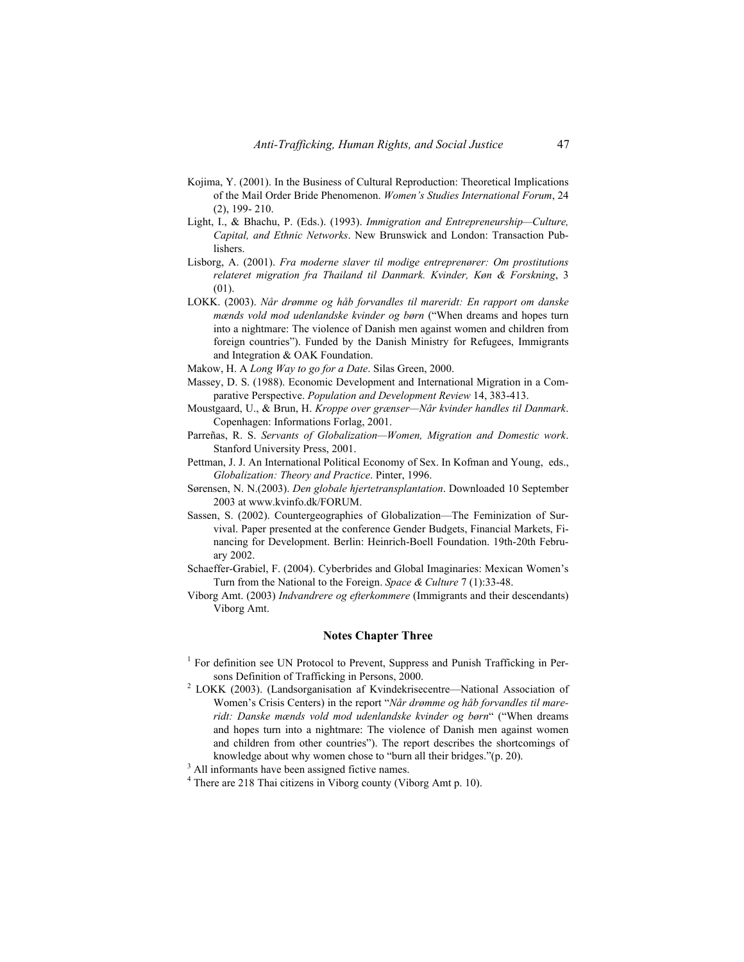- Kojima, Y. (2001). In the Business of Cultural Reproduction: Theoretical Implications of the Mail Order Bride Phenomenon. *Women's Studies International Forum*, 24 (2), 199- 210.
- Light, I., & Bhachu, P. (Eds.). (1993). *Immigration and Entrepreneurship—Culture, Capital, and Ethnic Networks*. New Brunswick and London: Transaction Publishers.
- Lisborg, A. (2001). *Fra moderne slaver til modige entreprenører: Om prostitutions relateret migration fra Thailand til Danmark. Kvinder, Køn & Forskning*, 3 (01).
- LOKK. (2003). *Når drømme og håb forvandles til mareridt: En rapport om danske mænds vold mod udenlandske kvinder og børn* ("When dreams and hopes turn into a nightmare: The violence of Danish men against women and children from foreign countries"). Funded by the Danish Ministry for Refugees, Immigrants and Integration & OAK Foundation.
- Makow, H. A *Long Way to go for a Date*. Silas Green, 2000.
- Massey, D. S. (1988). Economic Development and International Migration in a Comparative Perspective. *Population and Development Review* 14, 383-413.
- Moustgaard, U., & Brun, H. *Kroppe over grænser—Når kvinder handles til Danmark*. Copenhagen: Informations Forlag, 2001.
- Parreñas, R. S. *Servants of Globalization—Women, Migration and Domestic work*. Stanford University Press, 2001.
- Pettman, J. J. An International Political Economy of Sex. In Kofman and Young, eds., *Globalization: Theory and Practice*. Pinter, 1996.
- Sørensen, N. N.(2003). *Den globale hjertetransplantation*. Downloaded 10 September 2003 at www.kvinfo.dk/FORUM.
- Sassen, S. (2002). Countergeographies of Globalization—The Feminization of Survival. Paper presented at the conference Gender Budgets, Financial Markets, Financing for Development. Berlin: Heinrich-Boell Foundation. 19th-20th February 2002.
- Schaeffer-Grabiel, F. (2004). Cyberbrides and Global Imaginaries: Mexican Women's Turn from the National to the Foreign. *Space & Culture* 7 (1):33-48.
- Viborg Amt. (2003) *Indvandrere og efterkommere* (Immigrants and their descendants) Viborg Amt.

#### **Notes Chapter Three**

- <sup>1</sup> For definition see UN Protocol to Prevent, Suppress and Punish Trafficking in Persons Definition of Trafficking in Persons, 2000.
- <sup>2</sup> LOKK (2003). (Landsorganisation af Kvindekrisecentre—National Association of Women's Crisis Centers) in the report "*Når drømme og håb forvandles til mareridt: Danske mænds vold mod udenlandske kvinder og børn*" ("When dreams and hopes turn into a nightmare: The violence of Danish men against women and children from other countries"). The report describes the shortcomings of knowledge about why women chose to "burn all their bridges."(p. 20).

<sup>&</sup>lt;sup>3</sup> All informants have been assigned fictive names.

<sup>&</sup>lt;sup>4</sup> There are 218 Thai citizens in Viborg county (Viborg Amt p. 10).